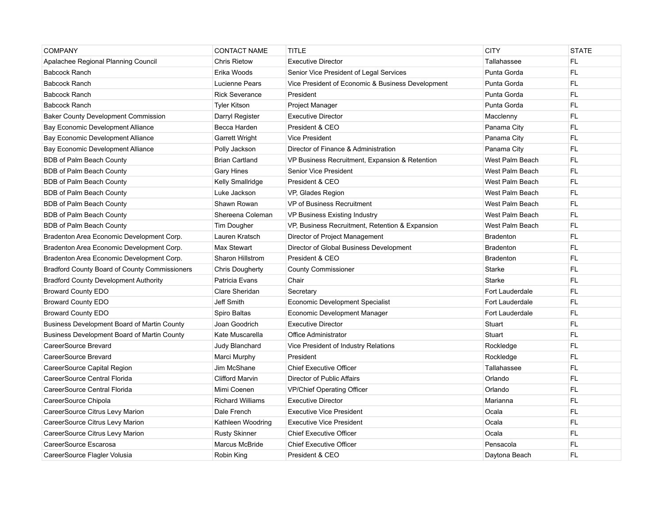| <b>COMPANY</b>                                       | <b>CONTACT NAME</b>     | <b>TITLE</b>                                      | <b>CITY</b>      | <b>STATE</b> |
|------------------------------------------------------|-------------------------|---------------------------------------------------|------------------|--------------|
| Apalachee Regional Planning Council                  | <b>Chris Rietow</b>     | <b>Executive Director</b>                         | Tallahassee      | FL           |
| <b>Babcock Ranch</b>                                 | Erika Woods             | Senior Vice President of Legal Services           | Punta Gorda      | FL           |
| <b>Babcock Ranch</b>                                 | Lucienne Pears          | Vice President of Economic & Business Development | Punta Gorda      | FL           |
| <b>Babcock Ranch</b>                                 | <b>Rick Severance</b>   | President                                         | Punta Gorda      | FL           |
| <b>Babcock Ranch</b>                                 | Tyler Kitson            | Project Manager                                   | Punta Gorda      | FL           |
| <b>Baker County Development Commission</b>           | Darryl Register         | <b>Executive Director</b>                         | Macclenny        | FL.          |
| Bay Economic Development Alliance                    | Becca Harden            | President & CEO                                   | Panama City      | FL           |
| Bay Economic Development Alliance                    | <b>Garrett Wright</b>   | <b>Vice President</b>                             | Panama City      | FL.          |
| Bay Economic Development Alliance                    | Polly Jackson           | Director of Finance & Administration              | Panama City      | FL           |
| <b>BDB of Palm Beach County</b>                      | <b>Brian Cartland</b>   | VP Business Recruitment, Expansion & Retention    | West Palm Beach  | FL           |
| <b>BDB of Palm Beach County</b>                      | <b>Gary Hines</b>       | Senior Vice President                             | West Palm Beach  | FL           |
| BDB of Palm Beach County                             | Kelly Smallridge        | President & CEO                                   | West Palm Beach  | FL           |
| BDB of Palm Beach County                             | Luke Jackson            | VP, Glades Region                                 | West Palm Beach  | FL           |
| <b>BDB of Palm Beach County</b>                      | Shawn Rowan             | VP of Business Recruitment                        | West Palm Beach  | FL           |
| BDB of Palm Beach County                             | Shereena Coleman        | VP Business Existing Industry                     | West Palm Beach  | FL           |
| BDB of Palm Beach County                             | Tim Dougher             | VP, Business Recruitment, Retention & Expansion   | West Palm Beach  | FL           |
| Bradenton Area Economic Development Corp.            | Lauren Kratsch          | Director of Project Management                    | <b>Bradenton</b> | FL           |
| Bradenton Area Economic Development Corp.            | Max Stewart             | Director of Global Business Development           | <b>Bradenton</b> | FL           |
| Bradenton Area Economic Development Corp.            | Sharon Hillstrom        | President & CEO                                   | <b>Bradenton</b> | FL           |
| <b>Bradford County Board of County Commissioners</b> | Chris Dougherty         | <b>County Commissioner</b>                        | <b>Starke</b>    | FL           |
| <b>Bradford County Development Authority</b>         | Patricia Evans          | Chair                                             | Starke           | FL.          |
| <b>Broward County EDO</b>                            | Clare Sheridan          | Secretary                                         | Fort Lauderdale  | FL.          |
| <b>Broward County EDO</b>                            | Jeff Smith              | <b>Economic Development Specialist</b>            | Fort Lauderdale  | FL.          |
| <b>Broward County EDO</b>                            | Spiro Baltas            | Economic Development Manager                      | Fort Lauderdale  | FL           |
| Business Development Board of Martin County          | Joan Goodrich           | <b>Executive Director</b>                         | <b>Stuart</b>    | FL           |
| Business Development Board of Martin County          | Kate Muscarella         | <b>Office Administrator</b>                       | Stuart           | FL           |
| CareerSource Brevard                                 | Judy Blanchard          | Vice President of Industry Relations              | Rockledge        | FL           |
| CareerSource Brevard                                 | Marci Murphy            | President                                         | Rockledge        | FL           |
| CareerSource Capital Region                          | Jim McShane             | <b>Chief Executive Officer</b>                    | Tallahassee      | FL           |
| CareerSource Central Florida                         | <b>Clifford Marvin</b>  | Director of Public Affairs                        | Orlando          | FL           |
| CareerSource Central Florida                         | Mimi Coenen             | <b>VP/Chief Operating Officer</b>                 | Orlando          | FL           |
| CareerSource Chipola                                 | <b>Richard Williams</b> | <b>Executive Director</b>                         | Marianna         | FL           |
| CareerSource Citrus Levy Marion                      | Dale French             | <b>Executive Vice President</b>                   | Ocala            | FL           |
| CareerSource Citrus Levy Marion                      | Kathleen Woodring       | <b>Executive Vice President</b>                   | Ocala            | FL           |
| CareerSource Citrus Levy Marion                      | <b>Rusty Skinner</b>    | <b>Chief Executive Officer</b>                    | Ocala            | FL           |
| CareerSource Escarosa                                | Marcus McBride          | <b>Chief Executive Officer</b>                    | Pensacola        | FL           |
| CareerSource Flagler Volusia                         | Robin King              | President & CEO                                   | Daytona Beach    | FL           |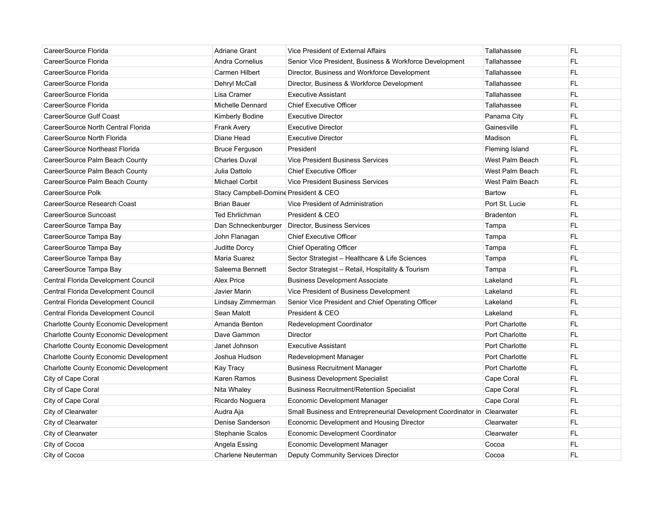| CareerSource Florida                         | <b>Adriane Grant</b>                  | Vice President of External Affairs                                       | Tallahassee     | FL        |
|----------------------------------------------|---------------------------------------|--------------------------------------------------------------------------|-----------------|-----------|
| CareerSource Florida                         | Andra Cornelius                       | Senior Vice President, Business & Workforce Development                  | Tallahassee     | <b>FL</b> |
| CareerSource Florida                         | Carmen Hilbert                        | Director, Business and Workforce Development                             | Tallahassee     | <b>FL</b> |
| CareerSource Florida                         | Dehryl McCall                         | Director, Business & Workforce Development                               | Tallahassee     | <b>FL</b> |
| CareerSource Florida                         | Lisa Cramer                           | <b>Executive Assistant</b>                                               | Tallahassee     | <b>FL</b> |
| CareerSource Florida                         | Michelle Dennard                      | <b>Chief Executive Officer</b>                                           | Tallahassee     | <b>FL</b> |
| CareerSource Gulf Coast                      | Kimberly Bodine                       | <b>Executive Director</b>                                                | Panama City     | <b>FL</b> |
| CareerSource North Central Florida           | <b>Frank Avery</b>                    | <b>Executive Director</b>                                                | Gainesville     | FL.       |
| CareerSource North Florida                   | Diane Head                            | <b>Executive Director</b>                                                | Madison         | <b>FL</b> |
| CareerSource Northeast Florida               | <b>Bruce Ferguson</b>                 | President                                                                | Fleming Island  | <b>FL</b> |
| CareerSource Palm Beach County               | <b>Charles Duval</b>                  | <b>Vice President Business Services</b>                                  | West Palm Beach | FL.       |
| CareerSource Palm Beach County               | Julia Dattolo                         | <b>Chief Executive Officer</b>                                           | West Palm Beach | <b>FL</b> |
| CareerSource Palm Beach County               | <b>Michael Corbit</b>                 | <b>Vice President Business Services</b>                                  | West Palm Beach | <b>FL</b> |
| CareerSource Polk                            | Stacy Campbell-Domine President & CEO |                                                                          | <b>Bartow</b>   | <b>FL</b> |
| CareerSource Research Coast                  | <b>Brian Bauer</b>                    | Vice President of Administration                                         | Port St. Lucie  | <b>FL</b> |
| CareerSource Suncoast                        | Ted Ehrlichman                        | President & CEO                                                          | Bradenton       | <b>FL</b> |
| CareerSource Tampa Bay                       | Dan Schneckenburger                   | Director, Business Services                                              | Tampa           | <b>FL</b> |
| CareerSource Tampa Bay                       | John Flanagan                         | <b>Chief Executive Officer</b>                                           | Tampa           | <b>FL</b> |
| CareerSource Tampa Bay                       | Juditte Dorcy                         | <b>Chief Operating Officer</b>                                           | Tampa           | FL.       |
| CareerSource Tampa Bay                       | Maria Suarez                          | Sector Strategist - Healthcare & Life Sciences                           | Tampa           | <b>FL</b> |
| CareerSource Tampa Bay                       | Saleema Bennett                       | Sector Strategist - Retail, Hospitality & Tourism                        | Tampa           | <b>FL</b> |
| Central Florida Development Council          | <b>Alex Price</b>                     | <b>Business Development Associate</b>                                    | Lakeland        | <b>FL</b> |
| Central Florida Development Council          | Javier Marin                          | Vice President of Business Development                                   | Lakeland        | <b>FL</b> |
| Central Florida Development Council          | Lindsay Zimmerman                     | Senior Vice President and Chief Operating Officer                        | Lakeland        | <b>FL</b> |
| Central Florida Development Council          | Sean Malott                           | President & CEO                                                          | Lakeland        | <b>FL</b> |
| <b>Charlotte County Economic Development</b> | Amanda Benton                         | Redevelopment Coordinator                                                | Port Charlotte  | <b>FL</b> |
| <b>Charlotte County Economic Development</b> | Dave Gammon                           | Director                                                                 | Port Charlotte  | <b>FL</b> |
| Charlotte County Economic Development        | Janet Johnson                         | <b>Executive Assistant</b>                                               | Port Charlotte  | <b>FL</b> |
| <b>Charlotte County Economic Development</b> | Joshua Hudson                         | Redevelopment Manager                                                    | Port Charlotte  | <b>FL</b> |
| <b>Charlotte County Economic Development</b> | Kay Tracy                             | <b>Business Recruitment Manager</b>                                      | Port Charlotte  | <b>FL</b> |
| City of Cape Coral                           | Karen Ramos                           | <b>Business Development Specialist</b>                                   | Cape Coral      | <b>FL</b> |
| City of Cape Coral                           | Nita Whaley                           | <b>Business Recruitment/Retention Specialist</b>                         | Cape Coral      | FL.       |
| City of Cape Coral                           | Ricardo Noguera                       | Economic Development Manager                                             | Cape Coral      | <b>FL</b> |
| City of Clearwater                           | Audra Aja                             | Small Business and Entrepreneurial Development Coordinator in Clearwater |                 | <b>FL</b> |
| City of Clearwater                           | Denise Sanderson                      | Economic Development and Housing Director                                | Clearwater      | FL        |
| City of Clearwater                           | Stephanie Scalos                      | Economic Development Coordinator                                         | Clearwater      | <b>FL</b> |
| City of Cocoa                                | Angela Essing                         | Economic Development Manager                                             | Cocoa           | <b>FL</b> |
| City of Cocoa                                | Charlene Neuterman                    | Deputy Community Services Director                                       | Cocoa           | <b>FL</b> |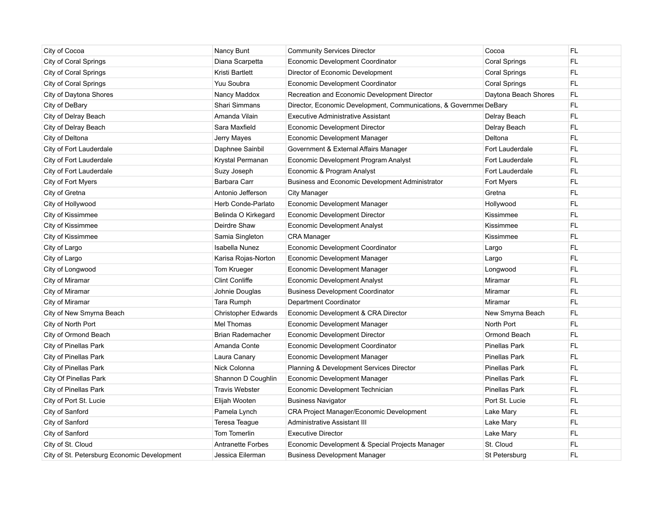| City of Cocoa                               | Nancy Bunt                 | <b>Community Services Director</b>                                 | Cocoa                | FL        |
|---------------------------------------------|----------------------------|--------------------------------------------------------------------|----------------------|-----------|
| City of Coral Springs                       | Diana Scarpetta            | Economic Development Coordinator                                   | Coral Springs        | <b>FL</b> |
| City of Coral Springs                       | Kristi Bartlett            | Director of Economic Development                                   | Coral Springs        | <b>FL</b> |
| City of Coral Springs                       | Yuu Soubra                 | Economic Development Coordinator                                   | Coral Springs        | FL        |
| City of Daytona Shores                      | Nancy Maddox               | Recreation and Economic Development Director                       | Daytona Beach Shores | FL        |
| City of DeBary                              | Shari Simmans              | Director, Economic Development, Communications, & Governmei DeBary |                      | <b>FL</b> |
| City of Delray Beach                        | Amanda Vilain              | <b>Executive Administrative Assistant</b>                          | Delray Beach         | FL.       |
| City of Delray Beach                        | Sara Maxfield              | <b>Economic Development Director</b>                               | Delray Beach         | FL        |
| City of Deltona                             | Jerry Mayes                | Economic Development Manager                                       | Deltona              | <b>FL</b> |
| City of Fort Lauderdale                     | Daphnee Sainbil            | Government & External Affairs Manager                              | Fort Lauderdale      | <b>FL</b> |
| City of Fort Lauderdale                     | Krystal Permanan           | Economic Development Program Analyst                               | Fort Lauderdale      | FL.       |
| City of Fort Lauderdale                     | Suzy Joseph                | Economic & Program Analyst                                         | Fort Lauderdale      | FL        |
| City of Fort Myers                          | Barbara Carr               | Business and Economic Development Administrator                    | <b>Fort Myers</b>    | <b>FL</b> |
| City of Gretna                              | Antonio Jefferson          | <b>City Manager</b>                                                | Gretna               | FL        |
| City of Hollywood                           | Herb Conde-Parlato         | Economic Development Manager                                       | Hollywood            | <b>FL</b> |
| City of Kissimmee                           | Belinda O Kirkegard        | <b>Economic Development Director</b>                               | Kissimmee            | <b>FL</b> |
| City of Kissimmee                           | Deirdre Shaw               | Economic Development Analyst                                       | Kissimmee            | FL        |
| City of Kissimmee                           | Samia Singleton            | <b>CRA</b> Manager                                                 | Kissimmee            | <b>FL</b> |
| City of Largo                               | Isabella Nunez             | Economic Development Coordinator                                   | Largo                | <b>FL</b> |
| City of Largo                               | Karisa Rojas-Norton        | Economic Development Manager                                       | Largo                | FL        |
| City of Longwood                            | Tom Krueger                | Economic Development Manager                                       | Longwood             | FL        |
| City of Miramar                             | <b>Clint Conliffe</b>      | Economic Development Analyst                                       | Miramar              | FL.       |
| City of Miramar                             | Johnie Douglas             | <b>Business Development Coordinator</b>                            | Miramar              | <b>FL</b> |
| City of Miramar                             | Tara Rumph                 | Department Coordinator                                             | Miramar              | <b>FL</b> |
| City of New Smyrna Beach                    | <b>Christopher Edwards</b> | Economic Development & CRA Director                                | New Smyrna Beach     | FL        |
| City of North Port                          | Mel Thomas                 | Economic Development Manager                                       | North Port           | <b>FL</b> |
| City of Ormond Beach                        | <b>Brian Rademacher</b>    | Economic Development Director                                      | Ormond Beach         | FL        |
| City of Pinellas Park                       | Amanda Conte               | Economic Development Coordinator                                   | <b>Pinellas Park</b> | FL        |
| City of Pinellas Park                       | Laura Canary               | Economic Development Manager                                       | <b>Pinellas Park</b> | <b>FL</b> |
| City of Pinellas Park                       | Nick Colonna               | Planning & Development Services Director                           | <b>Pinellas Park</b> | FL        |
| City Of Pinellas Park                       | Shannon D Coughlin         | Economic Development Manager                                       | <b>Pinellas Park</b> | <b>FL</b> |
| City of Pinellas Park                       | <b>Travis Webster</b>      | Economic Development Technician                                    | <b>Pinellas Park</b> | <b>FL</b> |
| City of Port St. Lucie                      | Elijah Wooten              | <b>Business Navigator</b>                                          | Port St. Lucie       | <b>FL</b> |
| City of Sanford                             | Pamela Lynch               | CRA Project Manager/Economic Development                           | Lake Mary            | FL        |
| City of Sanford                             | Teresa Teague              | Administrative Assistant III                                       | Lake Mary            | <b>FL</b> |
| City of Sanford                             | Tom Tomerlin               | <b>Executive Director</b>                                          | Lake Mary            | <b>FL</b> |
| City of St. Cloud                           | <b>Antranette Forbes</b>   | Economic Development & Special Projects Manager                    | St. Cloud            | FL        |
| City of St. Petersburg Economic Development | Jessica Eilerman           | <b>Business Development Manager</b>                                | St Petersburg        | <b>FL</b> |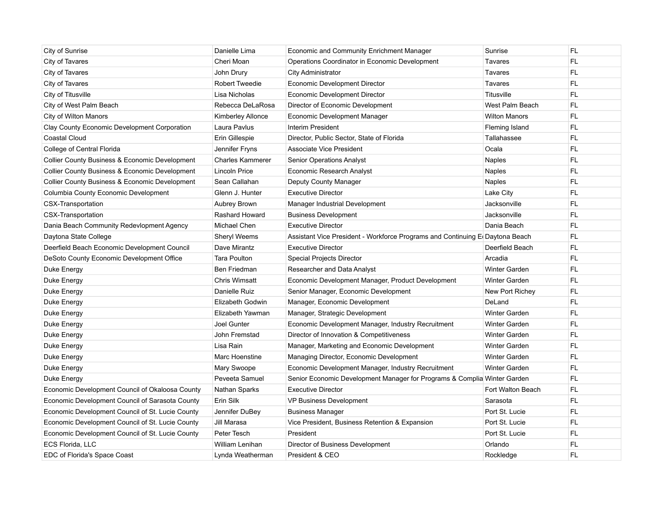| City of Sunrise                                  | Danielle Lima            | Economic and Community Enrichment Manager                                    | Sunrise              | FL        |
|--------------------------------------------------|--------------------------|------------------------------------------------------------------------------|----------------------|-----------|
| City of Tavares                                  | Cheri Moan               | Operations Coordinator in Economic Development                               | Tavares              | <b>FL</b> |
| City of Tavares                                  | John Drury               | City Administrator                                                           | <b>Tavares</b>       | FL        |
| City of Tavares                                  | <b>Robert Tweedie</b>    | Economic Development Director                                                | Tavares              | FL.       |
| City of Titusville                               | Lisa Nicholas            | Economic Development Director                                                | Titusville           | FL.       |
| City of West Palm Beach                          | Rebecca DeLaRosa         | Director of Economic Development                                             | West Palm Beach      | FL        |
| City of Wilton Manors                            | <b>Kimberley Allonce</b> | Economic Development Manager                                                 | <b>Wilton Manors</b> | FL.       |
| Clay County Economic Development Corporation     | Laura Pavlus             | Interim President                                                            | Fleming Island       | FL.       |
| <b>Coastal Cloud</b>                             | Erin Gillespie           | Director, Public Sector, State of Florida                                    | Tallahassee          | FL.       |
| College of Central Florida                       | Jennifer Fryns           | Associate Vice President                                                     | Ocala                | <b>FL</b> |
| Collier County Business & Economic Development   | <b>Charles Kammerer</b>  | <b>Senior Operations Analyst</b>                                             | Naples               | FL        |
| Collier County Business & Economic Development   | <b>Lincoln Price</b>     | Economic Research Analyst                                                    | <b>Naples</b>        | FL        |
| Collier County Business & Economic Development   | Sean Callahan            | Deputy County Manager                                                        | Naples               | FL        |
| Columbia County Economic Development             | Glenn J. Hunter          | <b>Executive Director</b>                                                    | Lake City            | <b>FL</b> |
| CSX-Transportation                               | Aubrey Brown             | Manager Industrial Development                                               | Jacksonville         | FL        |
| CSX-Transportation                               | Rashard Howard           | <b>Business Development</b>                                                  | Jacksonville         | <b>FL</b> |
| Dania Beach Community Redevlopment Agency        | Michael Chen             | <b>Executive Director</b>                                                    | Dania Beach          | FL.       |
| Daytona State College                            | <b>Shervl Weems</b>      | Assistant Vice President - Workforce Programs and Continuing E(Daytona Beach |                      | FL.       |
| Deerfield Beach Economic Development Council     | Dave Mirantz             | <b>Executive Director</b>                                                    | Deerfield Beach      | FL        |
| DeSoto County Economic Development Office        | <b>Tara Poulton</b>      | <b>Special Projects Director</b>                                             | Arcadia              | FL.       |
| Duke Energy                                      | Ben Friedman             | Researcher and Data Analyst                                                  | Winter Garden        | FL.       |
| Duke Energy                                      | <b>Chris Wimsatt</b>     | Economic Development Manager, Product Development                            | Winter Garden        | <b>FL</b> |
| Duke Energy                                      | Danielle Ruiz            | Senior Manager, Economic Development                                         | New Port Richey      | FL        |
| Duke Energy                                      | Elizabeth Godwin         | Manager, Economic Development                                                | DeLand               | <b>FL</b> |
| Duke Energy                                      | Elizabeth Yawman         | Manager, Strategic Development                                               | <b>Winter Garden</b> | <b>FL</b> |
| Duke Energy                                      | Joel Gunter              | Economic Development Manager, Industry Recruitment                           | Winter Garden        | FL        |
| Duke Energy                                      | John Fremstad            | Director of Innovation & Competitiveness                                     | Winter Garden        | <b>FL</b> |
| Duke Energy                                      | Lisa Rain                | Manager, Marketing and Economic Development                                  | Winter Garden        | FL        |
| Duke Energy                                      | Marc Hoenstine           | Managing Director, Economic Development                                      | Winter Garden        | FL        |
| Duke Energy                                      | Mary Swoope              | Economic Development Manager, Industry Recruitment                           | Winter Garden        | <b>FL</b> |
| Duke Energy                                      | Peveeta Samuel           | Senior Economic Development Manager for Programs & Complia Winter Garden     |                      | FL        |
| Economic Development Council of Okaloosa County  | Nathan Sparks            | <b>Executive Director</b>                                                    | Fort Walton Beach    | FL.       |
| Economic Development Council of Sarasota County  | Erin Silk                | <b>VP Business Development</b>                                               | Sarasota             | FL.       |
| Economic Development Council of St. Lucie County | Jennifer DuBey           | <b>Business Manager</b>                                                      | Port St. Lucie       | FL.       |
| Economic Development Council of St. Lucie County | Jill Marasa              | Vice President, Business Retention & Expansion                               | Port St. Lucie       | FL        |
| Economic Development Council of St. Lucie County | Peter Tesch              | President                                                                    | Port St. Lucie       | FL        |
| ECS Florida, LLC                                 | William Lenihan          | Director of Business Development                                             | Orlando              | <b>FL</b> |
| EDC of Florida's Space Coast                     | Lynda Weatherman         | President & CEO                                                              | Rockledge            | FL        |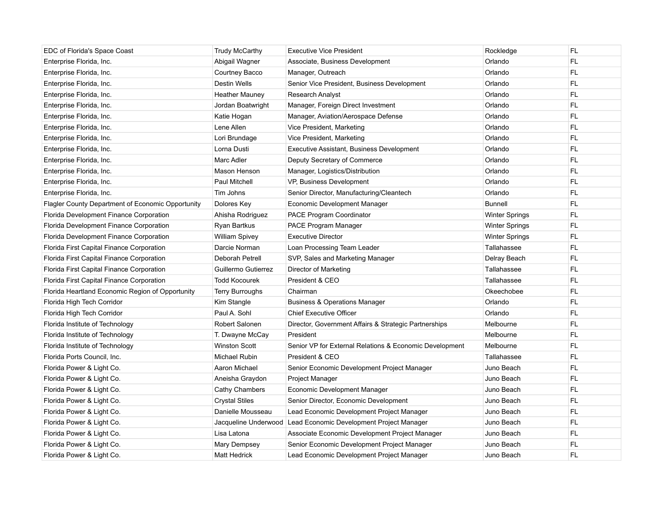| EDC of Florida's Space Coast                             | <b>Trudy McCarthy</b>  | <b>Executive Vice President</b>                                  | Rockledge             | FL.       |
|----------------------------------------------------------|------------------------|------------------------------------------------------------------|-----------------------|-----------|
| Enterprise Florida, Inc.                                 | Abigail Wagner         | Associate, Business Development                                  | Orlando               | FL.       |
| Enterprise Florida, Inc.                                 | Courtney Bacco         | Manager, Outreach                                                | Orlando               | <b>FL</b> |
| Enterprise Florida, Inc.                                 | Destin Wells           | Senior Vice President, Business Development                      | Orlando               | FL.       |
| Enterprise Florida, Inc.                                 | <b>Heather Mauney</b>  | <b>Research Analyst</b>                                          | Orlando               | FL.       |
| Enterprise Florida, Inc.                                 | Jordan Boatwright      | Manager, Foreign Direct Investment                               | Orlando               | FL.       |
| Enterprise Florida, Inc.                                 | Katie Hogan            | Manager, Aviation/Aerospace Defense                              | Orlando               | <b>FL</b> |
| Enterprise Florida, Inc.                                 | Lene Allen             | Vice President, Marketing                                        | Orlando               | <b>FL</b> |
| Enterprise Florida, Inc.                                 | Lori Brundage          | Vice President, Marketing                                        | Orlando               | <b>FL</b> |
| Enterprise Florida, Inc.                                 | Lorna Dusti            | <b>Executive Assistant, Business Development</b>                 | Orlando               | <b>FL</b> |
| Enterprise Florida, Inc.                                 | Marc Adler             | Deputy Secretary of Commerce                                     | Orlando               | <b>FL</b> |
| Enterprise Florida, Inc.                                 | Mason Henson           | Manager, Logistics/Distribution                                  | Orlando               | FL.       |
| Enterprise Florida, Inc.                                 | Paul Mitchell          | VP, Business Development                                         | Orlando               | <b>FL</b> |
| Enterprise Florida, Inc.                                 | Tim Johns              | Senior Director, Manufacturing/Cleantech                         | Orlando               | FL.       |
| <b>Flagler County Department of Economic Opportunity</b> | Dolores Key            | Economic Development Manager                                     | <b>Bunnell</b>        | FL        |
| Florida Development Finance Corporation                  | Ahisha Rodriguez       | PACE Program Coordinator                                         | <b>Winter Springs</b> | FL.       |
| Florida Development Finance Corporation                  | Ryan Bartkus           | PACE Program Manager                                             | <b>Winter Springs</b> | <b>FL</b> |
| Florida Development Finance Corporation                  | <b>William Spivey</b>  | <b>Executive Director</b>                                        | <b>Winter Springs</b> | FL.       |
| Florida First Capital Finance Corporation                | Darcie Norman          | Loan Processing Team Leader                                      | Tallahassee           | FL.       |
| Florida First Capital Finance Corporation                | Deborah Petrell        | SVP, Sales and Marketing Manager                                 | Delray Beach          | FL.       |
| Florida First Capital Finance Corporation                | Guillermo Gutierrez    | Director of Marketing                                            | Tallahassee           | <b>FL</b> |
| Florida First Capital Finance Corporation                | <b>Todd Kocourek</b>   | President & CEO                                                  | Tallahassee           | <b>FL</b> |
| Florida Heartland Economic Region of Opportunity         | <b>Terry Burroughs</b> | Chairman                                                         | Okeechobee            | <b>FL</b> |
| Florida High Tech Corridor                               | Kim Stangle            | <b>Business &amp; Operations Manager</b>                         | Orlando               | <b>FL</b> |
| Florida High Tech Corridor                               | Paul A. Sohl           | <b>Chief Executive Officer</b>                                   | Orlando               | FL.       |
| Florida Institute of Technology                          | Robert Salonen         | Director, Government Affairs & Strategic Partnerships            | Melbourne             | <b>FL</b> |
| Florida Institute of Technology                          | T. Dwayne McCay        | President                                                        | Melbourne             | <b>FL</b> |
| Florida Institute of Technology                          | <b>Winston Scott</b>   | Senior VP for External Relations & Economic Development          | Melbourne             | <b>FL</b> |
| Florida Ports Council, Inc.                              | Michael Rubin          | President & CEO                                                  | Tallahassee           | FL.       |
| Florida Power & Light Co.                                | Aaron Michael          | Senior Economic Development Project Manager                      | Juno Beach            | <b>FL</b> |
| Florida Power & Light Co.                                | Aneisha Graydon        | Project Manager                                                  | Juno Beach            | <b>FL</b> |
| Florida Power & Light Co.                                | Cathy Chambers         | Economic Development Manager                                     | Juno Beach            | FL.       |
| Florida Power & Light Co.                                | <b>Crystal Stiles</b>  | Senior Director, Economic Development                            | Juno Beach            | FL.       |
| Florida Power & Light Co.                                | Danielle Mousseau      | Lead Economic Development Project Manager                        | Juno Beach            | FL.       |
| Florida Power & Light Co.                                |                        | Jacqueline Underwood   Lead Economic Development Project Manager | Juno Beach            | <b>FL</b> |
| Florida Power & Light Co.                                | Lisa Latona            | Associate Economic Development Project Manager                   | Juno Beach            | FL.       |
| Florida Power & Light Co.                                | Mary Dempsey           | Senior Economic Development Project Manager                      | Juno Beach            | <b>FL</b> |
| Florida Power & Light Co.                                | Matt Hedrick           | Lead Economic Development Project Manager                        | Juno Beach            | <b>FL</b> |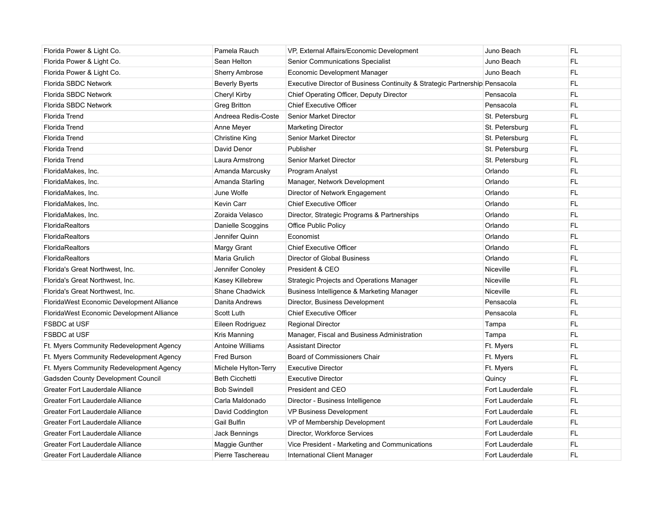| Florida Power & Light Co.                 | Pamela Rauch            | VP, External Affairs/Economic Development                                   | Juno Beach      | FL.       |
|-------------------------------------------|-------------------------|-----------------------------------------------------------------------------|-----------------|-----------|
| Florida Power & Light Co.                 | Sean Helton             | Senior Communications Specialist                                            | Juno Beach      | <b>FL</b> |
| Florida Power & Light Co.                 | <b>Sherry Ambrose</b>   | Economic Development Manager                                                | Juno Beach      | <b>FL</b> |
| Florida SBDC Network                      | <b>Beverly Byerts</b>   | Executive Director of Business Continuity & Strategic Partnership Pensacola |                 | FL        |
| Florida SBDC Network                      | Cheryl Kirby            | Chief Operating Officer, Deputy Director                                    | Pensacola       | <b>FL</b> |
| Florida SBDC Network                      | <b>Greg Britton</b>     | <b>Chief Executive Officer</b>                                              | Pensacola       | FL.       |
| Florida Trend                             | Andreea Redis-Coste     | Senior Market Director                                                      | St. Petersburg  | <b>FL</b> |
| <b>Florida Trend</b>                      | Anne Meyer              | <b>Marketing Director</b>                                                   | St. Petersburg  | <b>FL</b> |
| Florida Trend                             | Christine King          | Senior Market Director                                                      | St. Petersburg  | <b>FL</b> |
| <b>Florida Trend</b>                      | David Denor             | Publisher                                                                   | St. Petersburg  | <b>FL</b> |
| Florida Trend                             | Laura Armstrong         | Senior Market Director                                                      | St. Petersburg  | <b>FL</b> |
| FloridaMakes, Inc.                        | Amanda Marcusky         | Program Analyst                                                             | Orlando         | <b>FL</b> |
| FloridaMakes, Inc.                        | Amanda Starling         | Manager, Network Development                                                | Orlando         | <b>FL</b> |
| FloridaMakes, Inc.                        | June Wolfe              | Director of Network Engagement                                              | Orlando         | <b>FL</b> |
| FloridaMakes, Inc.                        | Kevin Carr              | <b>Chief Executive Officer</b>                                              | Orlando         | <b>FL</b> |
| FloridaMakes, Inc.                        | Zoraida Velasco         | Director, Strategic Programs & Partnerships                                 | Orlando         | <b>FL</b> |
| <b>FloridaRealtors</b>                    | Danielle Scoggins       | Office Public Policy                                                        | Orlando         | <b>FL</b> |
| FloridaRealtors                           | Jennifer Quinn          | Economist                                                                   | Orlando         | FL        |
| <b>FloridaRealtors</b>                    | Margy Grant             | <b>Chief Executive Officer</b>                                              | Orlando         | FL        |
| FloridaRealtors                           | Maria Grulich           | Director of Global Business                                                 | Orlando         | FL        |
| Florida's Great Northwest, Inc.           | Jennifer Conoley        | President & CEO                                                             | Niceville       | <b>FL</b> |
| Florida's Great Northwest, Inc.           | Kasey Killebrew         | Strategic Projects and Operations Manager                                   | Niceville       | FL        |
| Florida's Great Northwest, Inc.           | <b>Shane Chadwick</b>   | Business Intelligence & Marketing Manager                                   | Niceville       | <b>FL</b> |
| FloridaWest Economic Development Alliance | Danita Andrews          | Director, Business Development                                              | Pensacola       | <b>FL</b> |
| FloridaWest Economic Development Alliance | Scott Luth              | <b>Chief Executive Officer</b>                                              | Pensacola       | FL        |
| FSBDC at USF                              | Eileen Rodriguez        | <b>Regional Director</b>                                                    | Tampa           | <b>FL</b> |
| <b>FSBDC at USF</b>                       | Kris Manning            | Manager, Fiscal and Business Administration                                 | Tampa           | <b>FL</b> |
| Ft. Myers Community Redevelopment Agency  | <b>Antoine Williams</b> | <b>Assistant Director</b>                                                   | Ft. Myers       | <b>FL</b> |
| Ft. Myers Community Redevelopment Agency  | <b>Fred Burson</b>      | Board of Commissioners Chair                                                | Ft. Myers       | <b>FL</b> |
| Ft. Myers Community Redevelopment Agency  | Michele Hylton-Terry    | <b>Executive Director</b>                                                   | Ft. Myers       | FL.       |
| Gadsden County Development Council        | <b>Beth Cicchetti</b>   | <b>Executive Director</b>                                                   | Quincy          | <b>FL</b> |
| Greater Fort Lauderdale Alliance          | <b>Bob Swindell</b>     | President and CEO                                                           | Fort Lauderdale | <b>FL</b> |
| Greater Fort Lauderdale Alliance          | Carla Maldonado         | Director - Business Intelligence                                            | Fort Lauderdale | FL        |
| Greater Fort Lauderdale Alliance          | David Coddington        | <b>VP Business Development</b>                                              | Fort Lauderdale | <b>FL</b> |
| Greater Fort Lauderdale Alliance          | <b>Gail Bulfin</b>      | VP of Membership Development                                                | Fort Lauderdale | FL.       |
| Greater Fort Lauderdale Alliance          | Jack Bennings           | Director, Workforce Services                                                | Fort Lauderdale | <b>FL</b> |
| Greater Fort Lauderdale Alliance          | Maggie Gunther          | Vice President - Marketing and Communications                               | Fort Lauderdale | <b>FL</b> |
| Greater Fort Lauderdale Alliance          | Pierre Taschereau       | International Client Manager                                                | Fort Lauderdale | FL.       |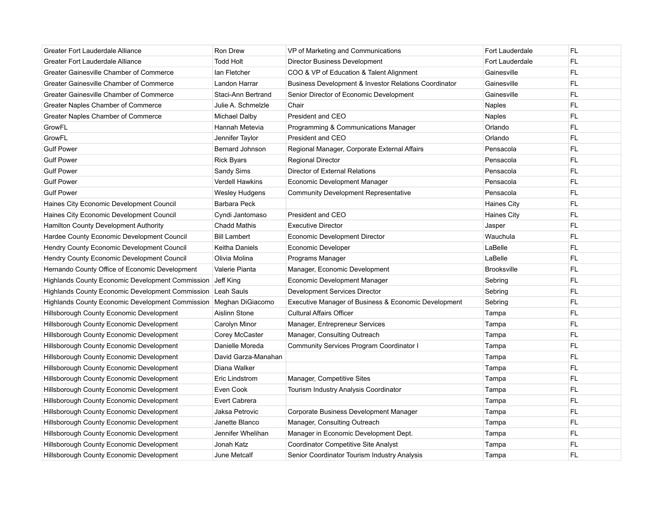| Greater Fort Lauderdale Alliance                                    | <b>Ron Drew</b>        | VP of Marketing and Communications                    | Fort Lauderdale    | FL        |
|---------------------------------------------------------------------|------------------------|-------------------------------------------------------|--------------------|-----------|
| Greater Fort Lauderdale Alliance                                    | Todd Holt              | Director Business Development                         | Fort Lauderdale    | FL.       |
| Greater Gainesville Chamber of Commerce                             | lan Fletcher           | COO & VP of Education & Talent Alignment              | Gainesville        | FL        |
| Greater Gainesville Chamber of Commerce                             | Landon Harrar          | Business Development & Investor Relations Coordinator | Gainesville        | FL.       |
| Greater Gainesville Chamber of Commerce                             | Staci-Ann Bertrand     | Senior Director of Economic Development               | Gainesville        | <b>FL</b> |
| Greater Naples Chamber of Commerce                                  | Julie A. Schmelzle     | Chair                                                 | <b>Naples</b>      | <b>FL</b> |
| Greater Naples Chamber of Commerce                                  | Michael Dalby          | President and CEO                                     | <b>Naples</b>      | FL        |
| GrowFL                                                              | Hannah Metevia         | Programming & Communications Manager                  | Orlando            | FL        |
| GrowFL                                                              | Jennifer Taylor        | President and CEO                                     | Orlando            | <b>FL</b> |
| <b>Gulf Power</b>                                                   | Bernard Johnson        | Regional Manager, Corporate External Affairs          | Pensacola          | <b>FL</b> |
| <b>Gulf Power</b>                                                   | <b>Rick Byars</b>      | <b>Regional Director</b>                              | Pensacola          | <b>FL</b> |
| <b>Gulf Power</b>                                                   | Sandy Sims             | Director of External Relations                        | Pensacola          | FL        |
| <b>Gulf Power</b>                                                   | <b>Verdell Hawkins</b> | Economic Development Manager                          | Pensacola          | <b>FL</b> |
| <b>Gulf Power</b>                                                   | <b>Wesley Hudgens</b>  | <b>Community Development Representative</b>           | Pensacola          | <b>FL</b> |
| Haines City Economic Development Council                            | Barbara Peck           |                                                       | <b>Haines City</b> | FL        |
| Haines City Economic Development Council                            | Cyndi Jantomaso        | President and CEO                                     | Haines City        | <b>FL</b> |
| <b>Hamilton County Development Authority</b>                        | <b>Chadd Mathis</b>    | <b>Executive Director</b>                             | Jasper             | <b>FL</b> |
| Hardee County Economic Development Council                          | <b>Bill Lambert</b>    | <b>Economic Development Director</b>                  | Wauchula           | <b>FL</b> |
| Hendry County Economic Development Council                          | <b>Keitha Daniels</b>  | Economic Developer                                    | LaBelle            | FL.       |
| Hendry County Economic Development Council                          | Olivia Molina          | Programs Manager                                      | LaBelle            | FL.       |
| Hernando County Office of Economic Development                      | Valerie Pianta         | Manager, Economic Development                         | <b>Brooksville</b> | <b>FL</b> |
| Highlands County Economic Development Commission   Jeff King        |                        | Economic Development Manager                          | Sebring            | FL.       |
| Highlands County Economic Development Commission Leah Sauls         |                        | Development Services Director                         | Sebring            | <b>FL</b> |
| Highlands County Economic Development Commission   Meghan DiGiacomo |                        | Executive Manager of Business & Economic Development  | Sebring            | <b>FL</b> |
| Hillsborough County Economic Development                            | Aislinn Stone          | <b>Cultural Affairs Officer</b>                       | Tampa              | FL        |
| Hillsborough County Economic Development                            | Carolyn Minor          | Manager, Entrepreneur Services                        | Tampa              | FL.       |
| Hillsborough County Economic Development                            | Corey McCaster         | Manager, Consulting Outreach                          | Tampa              | <b>FL</b> |
| Hillsborough County Economic Development                            | Danielle Moreda        | Community Services Program Coordinator I              | Tampa              | <b>FL</b> |
| Hillsborough County Economic Development                            | David Garza-Manahan    |                                                       | Tampa              | FL.       |
| Hillsborough County Economic Development                            | Diana Walker           |                                                       | Tampa              | <b>FL</b> |
| Hillsborough County Economic Development                            | Eric Lindstrom         | Manager, Competitive Sites                            | Tampa              | <b>FL</b> |
| Hillsborough County Economic Development                            | Even Cook              | Tourism Industry Analysis Coordinator                 | Tampa              | <b>FL</b> |
| Hillsborough County Economic Development                            | Evert Cabrera          |                                                       | Tampa              | <b>FL</b> |
| Hillsborough County Economic Development                            | Jaksa Petrovic         | Corporate Business Development Manager                | Tampa              | <b>FL</b> |
| Hillsborough County Economic Development                            | Janette Blanco         | Manager, Consulting Outreach                          | Tampa              | <b>FL</b> |
| Hillsborough County Economic Development                            | Jennifer Whelihan      | Manager in Economic Development Dept.                 | Tampa              | FL.       |
| Hillsborough County Economic Development                            | Jonah Katz             | Coordinator Competitive Site Analyst                  | Tampa              | FL        |
| Hillsborough County Economic Development                            | June Metcalf           | Senior Coordinator Tourism Industry Analysis          | Tampa              | FL        |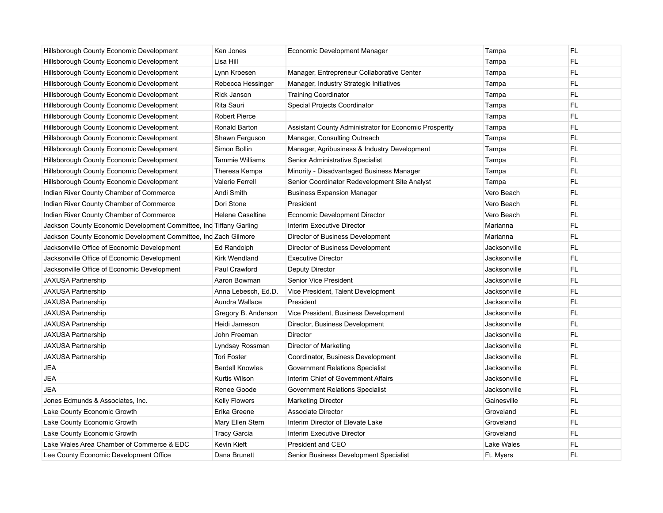| Hillsborough County Economic Development                           | Ken Jones               | Economic Development Manager                           | Tampa        | FL.       |
|--------------------------------------------------------------------|-------------------------|--------------------------------------------------------|--------------|-----------|
| Hillsborough County Economic Development                           | Lisa Hill               |                                                        | Tampa        | FL.       |
| Hillsborough County Economic Development                           | Lynn Kroesen            | Manager, Entrepreneur Collaborative Center             | Tampa        | FL.       |
| Hillsborough County Economic Development                           | Rebecca Hessinger       | Manager, Industry Strategic Initiatives                | Tampa        | FL.       |
| Hillsborough County Economic Development                           | Rick Janson             | <b>Training Coordinator</b>                            | Tampa        | FL.       |
| Hillsborough County Economic Development                           | Rita Sauri              | Special Projects Coordinator                           | Tampa        | FL.       |
| Hillsborough County Economic Development                           | <b>Robert Pierce</b>    |                                                        | Tampa        | FL.       |
| Hillsborough County Economic Development                           | Ronald Barton           | Assistant County Administrator for Economic Prosperity | Tampa        | FL.       |
| Hillsborough County Economic Development                           | Shawn Ferguson          | Manager, Consulting Outreach                           | Tampa        | <b>FL</b> |
| Hillsborough County Economic Development                           | Simon Bollin            | Manager, Agribusiness & Industry Development           | Tampa        | FL        |
| Hillsborough County Economic Development                           | Tammie Williams         | Senior Administrative Specialist                       | Tampa        | FL.       |
| Hillsborough County Economic Development                           | Theresa Kempa           | Minority - Disadvantaged Business Manager              | Tampa        | FL        |
| Hillsborough County Economic Development                           | Valerie Ferrell         | Senior Coordinator Redevelopment Site Analyst          | Tampa        | FL.       |
| Indian River County Chamber of Commerce                            | Andi Smith              | <b>Business Expansion Manager</b>                      | Vero Beach   | FL.       |
| Indian River County Chamber of Commerce                            | Dori Stone              | President                                              | Vero Beach   | <b>FL</b> |
| Indian River County Chamber of Commerce                            | <b>Helene Caseltine</b> | Economic Development Director                          | Vero Beach   | FL        |
| Jackson County Economic Development Committee, Inc Tiffany Garling |                         | Interim Executive Director                             | Marianna     | FL        |
| Jackson County Economic Development Committee, Inc Zach Gilmore    |                         | Director of Business Development                       | Marianna     | FL.       |
| Jacksonville Office of Economic Development                        | Ed Randolph             | Director of Business Development                       | Jacksonville | FL        |
| Jacksonville Office of Economic Development                        | <b>Kirk Wendland</b>    | <b>Executive Director</b>                              | Jacksonville | FL.       |
| Jacksonville Office of Economic Development                        | Paul Crawford           | <b>Deputy Director</b>                                 | Jacksonville | FL.       |
| <b>JAXUSA Partnership</b>                                          | Aaron Bowman            | Senior Vice President                                  | Jacksonville | FL.       |
| <b>JAXUSA Partnership</b>                                          | Anna Lebesch, Ed.D.     | Vice President, Talent Development                     | Jacksonville | FL.       |
| JAXUSA Partnership                                                 | Aundra Wallace          | President                                              | Jacksonville | FL.       |
| <b>JAXUSA Partnership</b>                                          | Gregory B. Anderson     | Vice President, Business Development                   | Jacksonville | FL.       |
| <b>JAXUSA Partnership</b>                                          | Heidi Jameson           | Director, Business Development                         | Jacksonville | FL        |
| JAXUSA Partnership                                                 | John Freeman            | Director                                               | Jacksonville | FL.       |
| <b>JAXUSA Partnership</b>                                          | Lyndsay Rossman         | Director of Marketing                                  | Jacksonville | FL.       |
| <b>JAXUSA Partnership</b>                                          | <b>Tori Foster</b>      | Coordinator, Business Development                      | Jacksonville | FL.       |
| JEA                                                                | <b>Berdell Knowles</b>  | Government Relations Specialist                        | Jacksonville | FL.       |
| <b>JEA</b>                                                         | Kurtis Wilson           | Interim Chief of Government Affairs                    | Jacksonville | FL.       |
| JEA                                                                | Renee Goode             | Government Relations Specialist                        | Jacksonville | FL.       |
| Jones Edmunds & Associates, Inc.                                   | <b>Kelly Flowers</b>    | <b>Marketing Director</b>                              | Gainesville  | FL        |
| Lake County Economic Growth                                        | Erika Greene            | Associate Director                                     | Groveland    | FL        |
| Lake County Economic Growth                                        | Mary Ellen Stern        | Interim Director of Elevate Lake                       | Groveland    | FL.       |
| Lake County Economic Growth                                        | <b>Tracy Garcia</b>     | Interim Executive Director                             | Groveland    | FL.       |
| Lake Wales Area Chamber of Commerce & EDC                          | Kevin Kieft             | President and CEO                                      | Lake Wales   | FL        |
| Lee County Economic Development Office                             | Dana Brunett            | Senior Business Development Specialist                 | Ft. Myers    | FL        |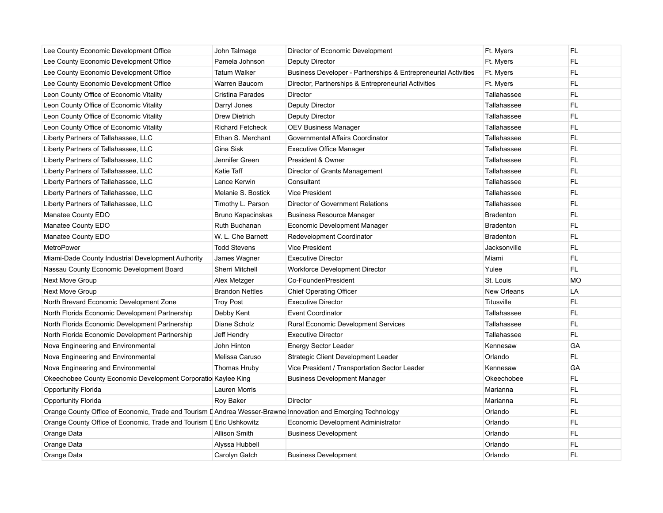| Lee County Economic Development Office                                                                        | John Talmage           | Director of Economic Development                               | Ft. Myers         | FL.       |
|---------------------------------------------------------------------------------------------------------------|------------------------|----------------------------------------------------------------|-------------------|-----------|
| Lee County Economic Development Office                                                                        | Pamela Johnson         | Deputy Director                                                | Ft. Myers         | <b>FL</b> |
| Lee County Economic Development Office                                                                        | <b>Tatum Walker</b>    | Business Developer - Partnerships & Entrepreneurial Activities | Ft. Myers         | <b>FL</b> |
| Lee County Economic Development Office                                                                        | Warren Baucom          | Director, Partnerships & Entrepreneurial Activities            | Ft. Myers         | FL.       |
| Leon County Office of Economic Vitality                                                                       | Cristina Parades       | Director                                                       | Tallahassee       | <b>FL</b> |
| Leon County Office of Economic Vitality                                                                       | Darryl Jones           | <b>Deputy Director</b>                                         | Tallahassee       | <b>FL</b> |
| Leon County Office of Economic Vitality                                                                       | Drew Dietrich          | Deputy Director                                                | Tallahassee       | FL.       |
| Leon County Office of Economic Vitality                                                                       | Richard Fetcheck       | <b>OEV Business Manager</b>                                    | Tallahassee       | <b>FL</b> |
| Liberty Partners of Tallahassee, LLC                                                                          | Ethan S. Merchant      | Governmental Affairs Coordinator                               | Tallahassee       | <b>FL</b> |
| Liberty Partners of Tallahassee, LLC                                                                          | Gina Sisk              | <b>Executive Office Manager</b>                                | Tallahassee       | <b>FL</b> |
| Liberty Partners of Tallahassee, LLC                                                                          | Jennifer Green         | President & Owner                                              | Tallahassee       | <b>FL</b> |
| Liberty Partners of Tallahassee, LLC                                                                          | Katie Taff             | Director of Grants Management                                  | Tallahassee       | <b>FL</b> |
| Liberty Partners of Tallahassee, LLC                                                                          | Lance Kerwin           | Consultant                                                     | Tallahassee       | FL        |
| Liberty Partners of Tallahassee, LLC                                                                          | Melanie S. Bostick     | <b>Vice President</b>                                          | Tallahassee       | <b>FL</b> |
| Liberty Partners of Tallahassee, LLC                                                                          | Timothy L. Parson      | Director of Government Relations                               | Tallahassee       | <b>FL</b> |
| Manatee County EDO                                                                                            | Bruno Kapacinskas      | <b>Business Resource Manager</b>                               | <b>Bradenton</b>  | <b>FL</b> |
| Manatee County EDO                                                                                            | Ruth Buchanan          | Economic Development Manager                                   | <b>Bradenton</b>  | <b>FL</b> |
| Manatee County EDO                                                                                            | W. L. Che Barnett      | Redevelopment Coordinator                                      | <b>Bradenton</b>  | <b>FL</b> |
| <b>MetroPower</b>                                                                                             | <b>Todd Stevens</b>    | <b>Vice President</b>                                          | Jacksonville      | FL.       |
| Miami-Dade County Industrial Development Authority                                                            | James Wagner           | <b>Executive Director</b>                                      | Miami             | <b>FL</b> |
| Nassau County Economic Development Board                                                                      | Sherri Mitchell        | <b>Workforce Development Director</b>                          | Yulee             | <b>FL</b> |
| <b>Next Move Group</b>                                                                                        | Alex Metzger           | Co-Founder/President                                           | St. Louis         | <b>MO</b> |
| <b>Next Move Group</b>                                                                                        | <b>Brandon Nettles</b> | <b>Chief Operating Officer</b>                                 | New Orleans       | LA        |
| North Brevard Economic Development Zone                                                                       | <b>Troy Post</b>       | <b>Executive Director</b>                                      | <b>Titusville</b> | <b>FL</b> |
| North Florida Economic Development Partnership                                                                | Debby Kent             | <b>Event Coordinator</b>                                       | Tallahassee       | <b>FL</b> |
| North Florida Economic Development Partnership                                                                | Diane Scholz           | <b>Rural Economic Development Services</b>                     | Tallahassee       | FL        |
| North Florida Economic Development Partnership                                                                | Jeff Hendry            | <b>Executive Director</b>                                      | Tallahassee       | <b>FL</b> |
| Nova Engineering and Environmental                                                                            | John Hinton            | <b>Energy Sector Leader</b>                                    | Kennesaw          | GA        |
| Nova Engineering and Environmental                                                                            | Melissa Caruso         | Strategic Client Development Leader                            | Orlando           | <b>FL</b> |
| Nova Engineering and Environmental                                                                            | Thomas Hruby           | Vice President / Transportation Sector Leader                  | Kennesaw          | GA        |
| Okeechobee County Economic Development Corporatio Kaylee King                                                 |                        | <b>Business Development Manager</b>                            | Okeechobee        | <b>FL</b> |
| Opportunity Florida                                                                                           | Lauren Morris          |                                                                | Marianna          | <b>FL</b> |
| Opportunity Florida                                                                                           | Roy Baker              | Director                                                       | Marianna          | <b>FL</b> |
| Orange County Office of Economic, Trade and Tourism L Andrea Wesser-Brawne Innovation and Emerging Technology |                        |                                                                | Orlando           | FL        |
| Orange County Office of Economic, Trade and Tourism L Eric Ushkowitz                                          |                        | Economic Development Administrator                             | Orlando           | FL        |
| Orange Data                                                                                                   | <b>Allison Smith</b>   | <b>Business Development</b>                                    | Orlando           | <b>FL</b> |
| Orange Data                                                                                                   | Alyssa Hubbell         |                                                                | Orlando           | FL        |
| Orange Data                                                                                                   | Carolyn Gatch          | <b>Business Development</b>                                    | Orlando           | <b>FL</b> |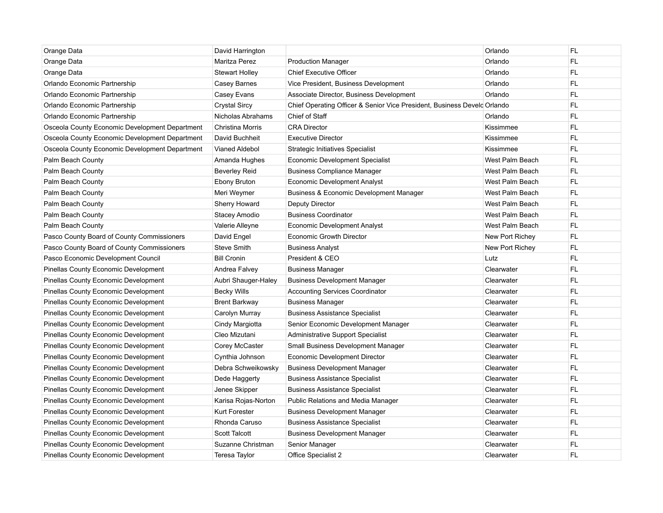| Orange Data                                    | David Harrington      |                                                                          | Orlando         | FL.       |
|------------------------------------------------|-----------------------|--------------------------------------------------------------------------|-----------------|-----------|
| Orange Data                                    | Maritza Perez         | <b>Production Manager</b>                                                | Orlando         | <b>FL</b> |
| Orange Data                                    | <b>Stewart Holley</b> | <b>Chief Executive Officer</b>                                           | Orlando         | <b>FL</b> |
| Orlando Economic Partnership                   | Casey Barnes          | Vice President, Business Development                                     | Orlando         | FL.       |
| Orlando Economic Partnership                   | Casey Evans           | Associate Director, Business Development                                 | Orlando         | <b>FL</b> |
| Orlando Economic Partnership                   | <b>Crystal Sircy</b>  | Chief Operating Officer & Senior Vice President, Business Develd Orlando |                 | <b>FL</b> |
| Orlando Economic Partnership                   | Nicholas Abrahams     | Chief of Staff                                                           | Orlando         | FL        |
| Osceola County Economic Development Department | Christina Morris      | <b>CRA Director</b>                                                      | Kissimmee       | <b>FL</b> |
| Osceola County Economic Development Department | David Buchheit        | <b>Executive Director</b>                                                | Kissimmee       | <b>FL</b> |
| Osceola County Economic Development Department | Vianed Aldebol        | Strategic Initiatives Specialist                                         | Kissimmee       | <b>FL</b> |
| Palm Beach County                              | Amanda Hughes         | Economic Development Specialist                                          | West Palm Beach | FL.       |
| Palm Beach County                              | <b>Beverley Reid</b>  | <b>Business Compliance Manager</b>                                       | West Palm Beach | FL        |
| Palm Beach County                              | Ebony Bruton          | <b>Economic Development Analyst</b>                                      | West Palm Beach | <b>FL</b> |
| Palm Beach County                              | Meri Weymer           | Business & Economic Development Manager                                  | West Palm Beach | FL        |
| Palm Beach County                              | Sherry Howard         | Deputy Director                                                          | West Palm Beach | <b>FL</b> |
| Palm Beach County                              | Stacey Amodio         | <b>Business Coordinator</b>                                              | West Palm Beach | <b>FL</b> |
| Palm Beach County                              | Valerie Alleyne       | Economic Development Analyst                                             | West Palm Beach | <b>FL</b> |
| Pasco County Board of County Commissioners     | David Engel           | <b>Economic Growth Director</b>                                          | New Port Richey | <b>FL</b> |
| Pasco County Board of County Commissioners     | <b>Steve Smith</b>    | <b>Business Analyst</b>                                                  | New Port Richey | <b>FL</b> |
| Pasco Economic Development Council             | <b>Bill Cronin</b>    | President & CEO                                                          | Lutz            | FL.       |
| <b>Pinellas County Economic Development</b>    | Andrea Falvey         | <b>Business Manager</b>                                                  | Clearwater      | FL        |
| <b>Pinellas County Economic Development</b>    | Aubri Shauger-Haley   | <b>Business Development Manager</b>                                      | Clearwater      | <b>FL</b> |
| <b>Pinellas County Economic Development</b>    | <b>Becky Wills</b>    | <b>Accounting Services Coordinator</b>                                   | Clearwater      | <b>FL</b> |
| <b>Pinellas County Economic Development</b>    | <b>Brent Barkway</b>  | <b>Business Manager</b>                                                  | Clearwater      | <b>FL</b> |
| Pinellas County Economic Development           | Carolyn Murray        | <b>Business Assistance Specialist</b>                                    | Clearwater      | <b>FL</b> |
| <b>Pinellas County Economic Development</b>    | Cindy Margiotta       | Senior Economic Development Manager                                      | Clearwater      | <b>FL</b> |
| <b>Pinellas County Economic Development</b>    | Cleo Mizutani         | <b>Administrative Support Specialist</b>                                 | Clearwater      | FL.       |
| <b>Pinellas County Economic Development</b>    | Corey McCaster        | Small Business Development Manager                                       | Clearwater      | FL        |
| <b>Pinellas County Economic Development</b>    | Cynthia Johnson       | Economic Development Director                                            | Clearwater      | <b>FL</b> |
| <b>Pinellas County Economic Development</b>    | Debra Schweikowsky    | <b>Business Development Manager</b>                                      | Clearwater      | FL.       |
| <b>Pinellas County Economic Development</b>    | Dede Haggerty         | <b>Business Assistance Specialist</b>                                    | Clearwater      | <b>FL</b> |
| <b>Pinellas County Economic Development</b>    | Jenee Skipper         | <b>Business Assistance Specialist</b>                                    | Clearwater      | <b>FL</b> |
| <b>Pinellas County Economic Development</b>    | Karisa Rojas-Norton   | Public Relations and Media Manager                                       | Clearwater      | <b>FL</b> |
| <b>Pinellas County Economic Development</b>    | Kurt Forester         | <b>Business Development Manager</b>                                      | Clearwater      | <b>FL</b> |
| <b>Pinellas County Economic Development</b>    | Rhonda Caruso         | <b>Business Assistance Specialist</b>                                    | Clearwater      | <b>FL</b> |
| <b>Pinellas County Economic Development</b>    | <b>Scott Talcott</b>  | <b>Business Development Manager</b>                                      | Clearwater      | <b>FL</b> |
| <b>Pinellas County Economic Development</b>    | Suzanne Christman     | Senior Manager                                                           | Clearwater      | FL        |
| <b>Pinellas County Economic Development</b>    | <b>Teresa Taylor</b>  | Office Specialist 2                                                      | Clearwater      | <b>FL</b> |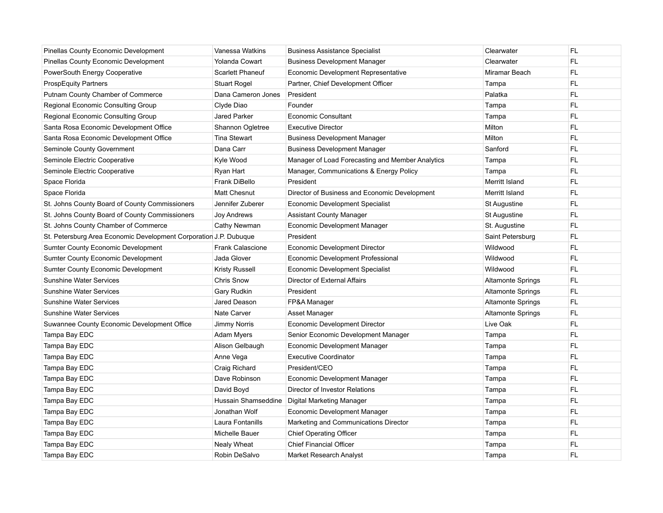| <b>Pinellas County Economic Development</b>                       | Vanessa Watkins         | <b>Business Assistance Specialist</b>            | Clearwater               | FL.       |
|-------------------------------------------------------------------|-------------------------|--------------------------------------------------|--------------------------|-----------|
| <b>Pinellas County Economic Development</b>                       | <b>Yolanda Cowart</b>   | <b>Business Development Manager</b>              | Clearwater               | FL        |
| PowerSouth Energy Cooperative                                     | <b>Scarlett Phaneuf</b> | <b>Economic Development Representative</b>       | Miramar Beach            | <b>FL</b> |
| <b>ProspEquity Partners</b>                                       | <b>Stuart Rogel</b>     | Partner, Chief Development Officer               | Tampa                    | FL        |
| Putnam County Chamber of Commerce                                 | Dana Cameron Jones      | President                                        | Palatka                  | <b>FL</b> |
| Regional Economic Consulting Group                                | Clyde Diao              | Founder                                          | Tampa                    | <b>FL</b> |
| Regional Economic Consulting Group                                | <b>Jared Parker</b>     | <b>Economic Consultant</b>                       | Tampa                    | FL        |
| Santa Rosa Economic Development Office                            | Shannon Ogletree        | <b>Executive Director</b>                        | Milton                   | <b>FL</b> |
| Santa Rosa Economic Development Office                            | <b>Tina Stewart</b>     | <b>Business Development Manager</b>              | Milton                   | <b>FL</b> |
| Seminole County Government                                        | Dana Carr               | <b>Business Development Manager</b>              | Sanford                  | FL        |
| Seminole Electric Cooperative                                     | Kyle Wood               | Manager of Load Forecasting and Member Analytics | Tampa                    | <b>FL</b> |
| Seminole Electric Cooperative                                     | Ryan Hart               | Manager, Communications & Energy Policy          | Tampa                    | <b>FL</b> |
| Space Florida                                                     | Frank DiBello           | President                                        | Merritt Island           | FL.       |
| Space Florida                                                     | <b>Matt Chesnut</b>     | Director of Business and Economic Development    | Merritt Island           | <b>FL</b> |
| St. Johns County Board of County Commissioners                    | Jennifer Zuberer        | <b>Economic Development Specialist</b>           | <b>St Augustine</b>      | <b>FL</b> |
| St. Johns County Board of County Commissioners                    | Joy Andrews             | <b>Assistant County Manager</b>                  | <b>St Augustine</b>      | FL.       |
| St. Johns County Chamber of Commerce                              | Cathy Newman            | Economic Development Manager                     | St. Augustine            | FL.       |
| St. Petersburg Area Economic Development Corporation J.P. Dubuque |                         | President                                        | Saint Petersburg         | FL        |
| <b>Sumter County Economic Development</b>                         | <b>Frank Calascione</b> | <b>Economic Development Director</b>             | Wildwood                 | FL        |
| Sumter County Economic Development                                | Jada Glover             | Economic Development Professional                | Wildwood                 | FL.       |
| Sumter County Economic Development                                | <b>Kristy Russell</b>   | Economic Development Specialist                  | Wildwood                 | <b>FL</b> |
| <b>Sunshine Water Services</b>                                    | <b>Chris Snow</b>       | Director of External Affairs                     | <b>Altamonte Springs</b> | FL        |
| <b>Sunshine Water Services</b>                                    | Gary Rudkin             | President                                        | <b>Altamonte Springs</b> | FL        |
| <b>Sunshine Water Services</b>                                    | Jared Deason            | FP&A Manager                                     | <b>Altamonte Springs</b> | <b>FL</b> |
| <b>Sunshine Water Services</b>                                    | Nate Carver             | Asset Manager                                    | <b>Altamonte Springs</b> | FL        |
| Suwannee County Economic Development Office                       | Jimmy Norris            | Economic Development Director                    | Live Oak                 | FL.       |
| Tampa Bay EDC                                                     | Adam Myers              | Senior Economic Development Manager              | Tampa                    | <b>FL</b> |
| Tampa Bay EDC                                                     | Alison Gelbaugh         | Economic Development Manager                     | Tampa                    | FL.       |
| Tampa Bay EDC                                                     | Anne Vega               | <b>Executive Coordinator</b>                     | Tampa                    | <b>FL</b> |
| Tampa Bay EDC                                                     | Craig Richard           | President/CEO                                    | Tampa                    | <b>FL</b> |
| Tampa Bay EDC                                                     | Dave Robinson           | Economic Development Manager                     | Tampa                    | FL        |
| Tampa Bay EDC                                                     | David Boyd              | Director of Investor Relations                   | Tampa                    | FL.       |
| Tampa Bay EDC                                                     | Hussain Shamseddine     | Digital Marketing Manager                        | Tampa                    | <b>FL</b> |
| Tampa Bay EDC                                                     | Jonathan Wolf           | Economic Development Manager                     | Tampa                    | FL.       |
| Tampa Bay EDC                                                     | Laura Fontanills        | Marketing and Communications Director            | Tampa                    | FL.       |
| Tampa Bay EDC                                                     | Michelle Bauer          | <b>Chief Operating Officer</b>                   | Tampa                    | <b>FL</b> |
| Tampa Bay EDC                                                     | <b>Nealy Wheat</b>      | <b>Chief Financial Officer</b>                   | Tampa                    | <b>FL</b> |
| Tampa Bay EDC                                                     | Robin DeSalvo           | <b>Market Research Analyst</b>                   | Tampa                    | <b>FL</b> |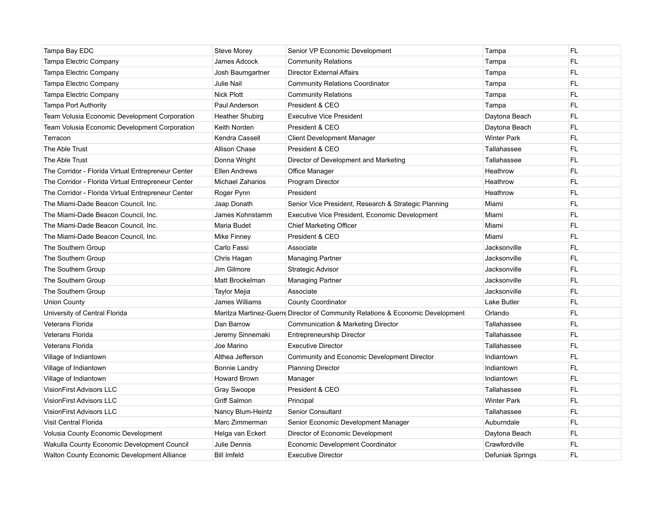| Tampa Bay EDC                                      | <b>Steve Morey</b>     | Senior VP Economic Development                                                 | Tampa              | <b>FL</b> |
|----------------------------------------------------|------------------------|--------------------------------------------------------------------------------|--------------------|-----------|
| Tampa Electric Company                             | James Adcock           | <b>Community Relations</b>                                                     | Tampa              | FL.       |
| Tampa Electric Company                             | Josh Baumgartner       | <b>Director External Affairs</b>                                               | Tampa              | <b>FL</b> |
| Tampa Electric Company                             | Julie Nail             | <b>Community Relations Coordinator</b>                                         | Tampa              | FL.       |
| Tampa Electric Company                             | <b>Nick Plott</b>      | <b>Community Relations</b>                                                     | Tampa              | FL.       |
| <b>Tampa Port Authority</b>                        | Paul Anderson          | President & CEO                                                                | Tampa              | FL.       |
| Team Volusia Economic Development Corporation      | <b>Heather Shubirg</b> | <b>Executive Vice President</b>                                                | Daytona Beach      | FL.       |
| Team Volusia Economic Development Corporation      | Keith Norden           | President & CEO                                                                | Daytona Beach      | FL        |
| Terracon                                           | Kendra Cassell         | <b>Client Development Manager</b>                                              | <b>Winter Park</b> | FL        |
| The Able Trust                                     | Allison Chase          | President & CEO                                                                | Tallahassee        | <b>FL</b> |
| The Able Trust                                     | Donna Wright           | Director of Development and Marketing                                          | Tallahassee        | <b>FL</b> |
| The Corridor - Florida Virtual Entrepreneur Center | <b>Ellen Andrews</b>   | Office Manager                                                                 | Heathrow           | FL        |
| The Corridor - Florida Virtual Entrepreneur Center | Michael Zaharios       | Program Director                                                               | Heathrow           | <b>FL</b> |
| The Corridor - Florida Virtual Entrepreneur Center | Roger Pynn             | President                                                                      | Heathrow           | FL.       |
| The Miami-Dade Beacon Council, Inc.                | Jaap Donath            | Senior Vice President, Research & Strategic Planning                           | Miami              | <b>FL</b> |
| The Miami-Dade Beacon Council, Inc.                | James Kohnstamm        | Executive Vice President, Economic Development                                 | Miami              | <b>FL</b> |
| The Miami-Dade Beacon Council, Inc.                | Maria Budet            | <b>Chief Marketing Officer</b>                                                 | Miami              | <b>FL</b> |
| The Miami-Dade Beacon Council, Inc.                | Mike Finney            | President & CEO                                                                | Miami              | FL.       |
| The Southern Group                                 | Carlo Fassi            | Associate                                                                      | Jacksonville       | <b>FL</b> |
| The Southern Group                                 | Chris Hagan            | <b>Managing Partner</b>                                                        | Jacksonville       | <b>FL</b> |
| The Southern Group                                 | Jim Gilmore            | Strategic Advisor                                                              | Jacksonville       | FL.       |
| The Southern Group                                 | Matt Brockelman        | <b>Managing Partner</b>                                                        | Jacksonville       | FL.       |
| The Southern Group                                 | <b>Taylor Mejia</b>    | Associate                                                                      | Jacksonville       | <b>FL</b> |
| <b>Union County</b>                                | James Williams         | <b>County Coordinator</b>                                                      | Lake Butler        | <b>FL</b> |
| University of Central Florida                      |                        | Maritza Martinez-Guerre Director of Community Relations & Economic Development | Orlando            | <b>FL</b> |
| <b>Veterans Florida</b>                            | Dan Barrow             | Communication & Marketing Director                                             | Tallahassee        | <b>FL</b> |
| <b>Veterans Florida</b>                            | Jeremy Sinnemaki       | <b>Entrepreneurship Director</b>                                               | Tallahassee        | <b>FL</b> |
| <b>Veterans Florida</b>                            | Joe Marino             | <b>Executive Director</b>                                                      | Tallahassee        | <b>FL</b> |
| Village of Indiantown                              | Althea Jefferson       | Community and Economic Development Director                                    | Indiantown         | <b>FL</b> |
| Village of Indiantown                              | Bonnie Landry          | <b>Planning Director</b>                                                       | Indiantown         | <b>FL</b> |
| Village of Indiantown                              | Howard Brown           | Manager                                                                        | Indiantown         | FL.       |
| VisionFirst Advisors LLC                           | Gray Swoope            | President & CEO                                                                | Tallahassee        | <b>FL</b> |
| <b>VisionFirst Advisors LLC</b>                    | Griff Salmon           | Principal                                                                      | <b>Winter Park</b> | <b>FL</b> |
| <b>VisionFirst Advisors LLC</b>                    | Nancy Blum-Heintz      | Senior Consultant                                                              | Tallahassee        | <b>FL</b> |
| Visit Central Florida                              | Marc Zimmerman         | Senior Economic Development Manager                                            | Auburndale         | FL        |
| Volusia County Economic Development                | Helga van Eckert       | Director of Economic Development                                               | Daytona Beach      | FL.       |
| Wakulla County Economic Development Council        | Julie Dennis           | <b>Economic Development Coordinator</b>                                        | Crawfordville      | FL.       |
| Walton County Economic Development Alliance        | <b>Bill Imfeld</b>     | <b>Executive Director</b>                                                      | Defuniak Springs   | FL.       |